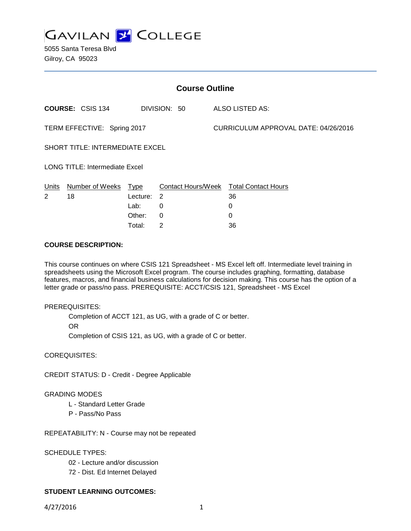

5055 Santa Teresa Blvd Gilroy, CA 95023

| <b>Course Outline</b>                  |                         |          |              |  |                                        |  |  |
|----------------------------------------|-------------------------|----------|--------------|--|----------------------------------------|--|--|
|                                        | <b>COURSE: CSIS 134</b> |          | DIVISION: 50 |  | ALSO LISTED AS:                        |  |  |
| TERM EFFECTIVE: Spring 2017            |                         |          |              |  | CURRICULUM APPROVAL DATE: 04/26/2016   |  |  |
| <b>SHORT TITLE: INTERMEDIATE EXCEL</b> |                         |          |              |  |                                        |  |  |
| <b>LONG TITLE: Intermediate Excel</b>  |                         |          |              |  |                                        |  |  |
| Units                                  | Number of Weeks         | Type     |              |  | Contact Hours/Week Total Contact Hours |  |  |
| $\overline{2}$                         | 18                      | Lecture: | 2            |  | 36                                     |  |  |
|                                        |                         | Lab:     | 0            |  | 0                                      |  |  |
|                                        |                         | Other:   | $\Omega$     |  | 0                                      |  |  |
|                                        |                         | Total:   | 2            |  | 36                                     |  |  |

### **COURSE DESCRIPTION:**

This course continues on where CSIS 121 Spreadsheet - MS Excel left off. Intermediate level training in spreadsheets using the Microsoft Excel program. The course includes graphing, formatting, database features, macros, and financial business calculations for decision making. This course has the option of a letter grade or pass/no pass. PREREQUISITE: ACCT/CSIS 121, Spreadsheet - MS Excel

#### PREREQUISITES:

Completion of ACCT 121, as UG, with a grade of C or better.

OR

Completion of CSIS 121, as UG, with a grade of C or better.

COREQUISITES:

CREDIT STATUS: D - Credit - Degree Applicable

### GRADING MODES

- L Standard Letter Grade
- P Pass/No Pass

REPEATABILITY: N - Course may not be repeated

SCHEDULE TYPES:

- 02 Lecture and/or discussion
- 72 Dist. Ed Internet Delayed

# **STUDENT LEARNING OUTCOMES:**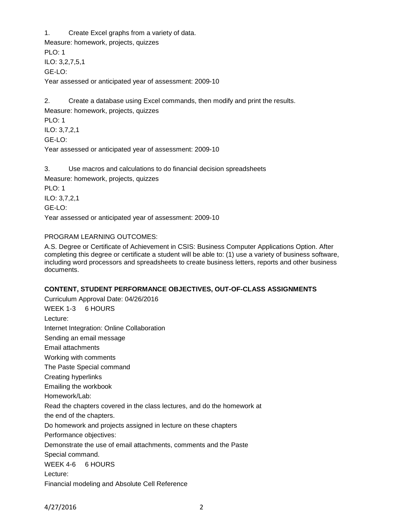1. Create Excel graphs from a variety of data. Measure: homework, projects, quizzes PLO: 1 ILO: 3,2,7,5,1 GE-LO: Year assessed or anticipated year of assessment: 2009-10

2. Create a database using Excel commands, then modify and print the results. Measure: homework, projects, quizzes PLO: 1 ILO: 3,7,2,1 GE-LO: Year assessed or anticipated year of assessment: 2009-10

3. Use macros and calculations to do financial decision spreadsheets Measure: homework, projects, quizzes PLO: 1 ILO: 3,7,2,1 GE-LO: Year assessed or anticipated year of assessment: 2009-10

# PROGRAM LEARNING OUTCOMES:

A.S. Degree or Certificate of Achievement in CSIS: Business Computer Applications Option. After completing this degree or certificate a student will be able to: (1) use a variety of business software, including word processors and spreadsheets to create business letters, reports and other business documents.

# **CONTENT, STUDENT PERFORMANCE OBJECTIVES, OUT-OF-CLASS ASSIGNMENTS**

Curriculum Approval Date: 04/26/2016 WEEK 1-3 6 HOURS Lecture: Internet Integration: Online Collaboration Sending an email message Email attachments Working with comments The Paste Special command Creating hyperlinks Emailing the workbook Homework/Lab: Read the chapters covered in the class lectures, and do the homework at the end of the chapters. Do homework and projects assigned in lecture on these chapters Performance objectives: Demonstrate the use of email attachments, comments and the Paste Special command. WEEK 4-6 6 HOURS Lecture: Financial modeling and Absolute Cell Reference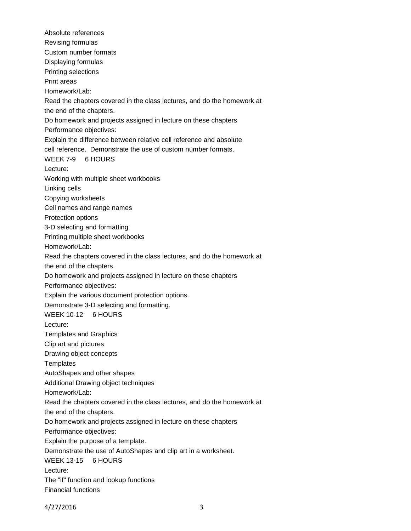Absolute references Revising formulas Custom number formats Displaying formulas Printing selections Print areas Homework/Lab: Read the chapters covered in the class lectures, and do the homework at the end of the chapters. Do homework and projects assigned in lecture on these chapters Performance objectives: Explain the difference between relative cell reference and absolute cell reference. Demonstrate the use of custom number formats. WEEK 7-9 6 HOURS Lecture: Working with multiple sheet workbooks Linking cells Copying worksheets Cell names and range names Protection options 3-D selecting and formatting Printing multiple sheet workbooks Homework/Lab: Read the chapters covered in the class lectures, and do the homework at the end of the chapters. Do homework and projects assigned in lecture on these chapters Performance objectives: Explain the various document protection options. Demonstrate 3-D selecting and formatting. WEEK 10-12 6 HOURS Lecture: Templates and Graphics Clip art and pictures Drawing object concepts **Templates** AutoShapes and other shapes Additional Drawing object techniques Homework/Lab: Read the chapters covered in the class lectures, and do the homework at the end of the chapters. Do homework and projects assigned in lecture on these chapters Performance objectives: Explain the purpose of a template. Demonstrate the use of AutoShapes and clip art in a worksheet. WEEK 13-15 6 HOURS Lecture: The "if" function and lookup functions Financial functions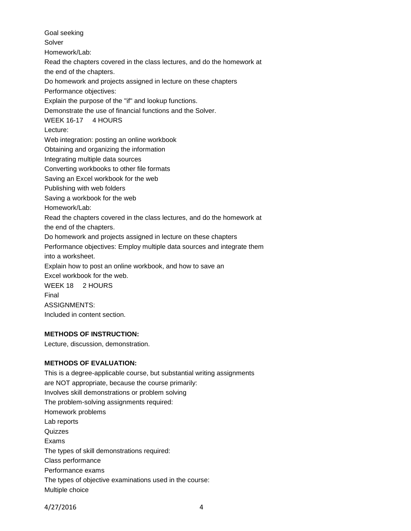Goal seeking Solver Homework/Lab: Read the chapters covered in the class lectures, and do the homework at the end of the chapters. Do homework and projects assigned in lecture on these chapters Performance objectives: Explain the purpose of the "if" and lookup functions. Demonstrate the use of financial functions and the Solver. WEEK 16-17 4 HOURS Lecture: Web integration: posting an online workbook Obtaining and organizing the information Integrating multiple data sources Converting workbooks to other file formats Saving an Excel workbook for the web Publishing with web folders Saving a workbook for the web Homework/Lab: Read the chapters covered in the class lectures, and do the homework at the end of the chapters. Do homework and projects assigned in lecture on these chapters Performance objectives: Employ multiple data sources and integrate them into a worksheet. Explain how to post an online workbook, and how to save an Excel workbook for the web. WEEK 18 2 HOURS Final ASSIGNMENTS: Included in content section.

# **METHODS OF INSTRUCTION:**

Lecture, discussion, demonstration.

# **METHODS OF EVALUATION:**

This is a degree-applicable course, but substantial writing assignments are NOT appropriate, because the course primarily: Involves skill demonstrations or problem solving The problem-solving assignments required: Homework problems Lab reports Quizzes Exams The types of skill demonstrations required: Class performance Performance exams The types of objective examinations used in the course: Multiple choice

4/27/2016 4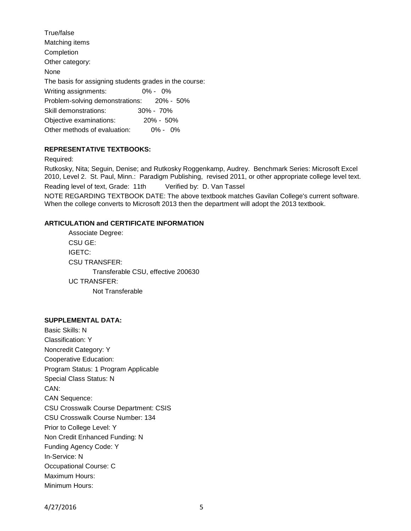| True/false                                             |               |
|--------------------------------------------------------|---------------|
| Matching items                                         |               |
| Completion                                             |               |
| Other category:                                        |               |
| None                                                   |               |
| The basis for assigning students grades in the course: |               |
| Writing assignments:                                   | $0\% - 0\%$   |
| Problem-solving demonstrations: 20% - 50%              |               |
| Skill demonstrations:                                  | $30\% - 70\%$ |
| Objective examinations:                                | $20\% - 50\%$ |
| Other methods of evaluation:                           | $0\% - 0\%$   |
|                                                        |               |

### **REPRESENTATIVE TEXTBOOKS:**

Required:

Rutkosky, Nita; Seguin, Denise; and Rutkosky Roggenkamp, Audrey. Benchmark Series: Microsoft Excel 2010, Level 2. St. Paul, Minn.: Paradigm Publishing, revised 2011, or other appropriate college level text. Reading level of text, Grade: 11th Verified by: D. Van Tassel

NOTE REGARDING TEXTBOOK DATE: The above textbook matches Gavilan College's current software. When the college converts to Microsoft 2013 then the department will adopt the 2013 textbook.

### **ARTICULATION and CERTIFICATE INFORMATION**

Associate Degree: CSU GE: IGETC: CSU TRANSFER: Transferable CSU, effective 200630 UC TRANSFER: Not Transferable

#### **SUPPLEMENTAL DATA:**

Basic Skills: N Classification: Y Noncredit Category: Y Cooperative Education: Program Status: 1 Program Applicable Special Class Status: N CAN: CAN Sequence: CSU Crosswalk Course Department: CSIS CSU Crosswalk Course Number: 134 Prior to College Level: Y Non Credit Enhanced Funding: N Funding Agency Code: Y In-Service: N Occupational Course: C Maximum Hours: Minimum Hours: